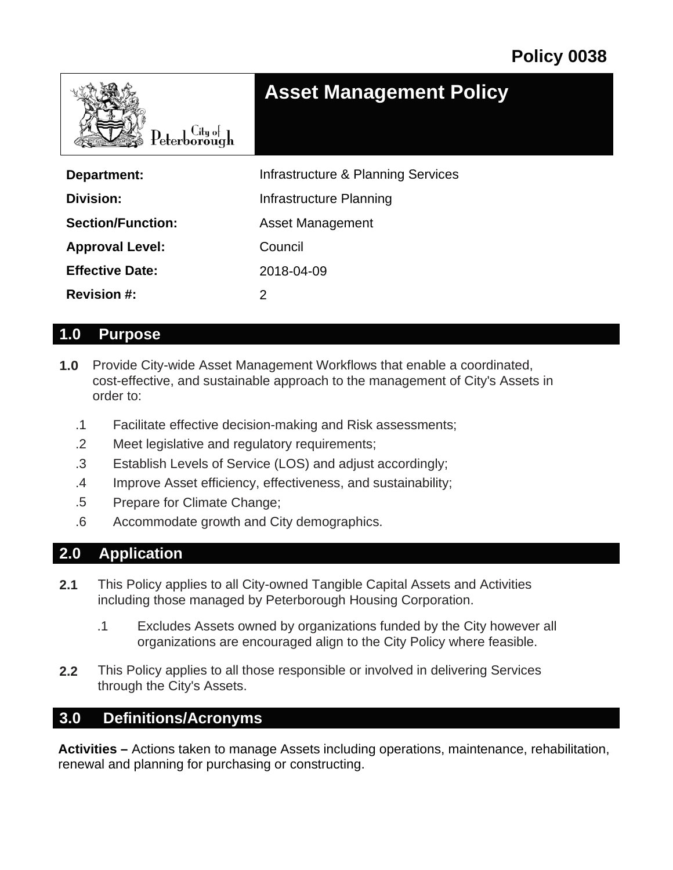

| Department:              | Infrastructure & Planning Services |
|--------------------------|------------------------------------|
| Division:                | Infrastructure Planning            |
| <b>Section/Function:</b> | <b>Asset Management</b>            |
| <b>Approval Level:</b>   | Council                            |
| <b>Effective Date:</b>   | 2018-04-09                         |
| <b>Revision #:</b>       | 2                                  |

### **1.0 Purpose**

- **1.0** Provide City-wide Asset Management Workflows that enable a coordinated, cost-effective, and sustainable approach to the management of City's Assets in order to:
	- .1 Facilitate effective decision-making and Risk assessments;
	- .2 Meet legislative and regulatory requirements;
	- .3 Establish Levels of Service (LOS) and adjust accordingly;
	- .4 Improve Asset efficiency, effectiveness, and sustainability;
	- .5 Prepare for Climate Change;
	- .6 Accommodate growth and City demographics.

### **2.0 Application**

- **2.1** This Policy applies to all City-owned Tangible Capital Assets and Activities including those managed by Peterborough Housing Corporation.
	- .1 Excludes Assets owned by organizations funded by the City however all organizations are encouraged align to the City Policy where feasible.
- **2.2** This Policy applies to all those responsible or involved in delivering Services through the City's Assets.

### **3.0 Definitions/Acronyms**

**Activities –** Actions taken to manage Assets including operations, maintenance, rehabilitation, renewal and planning for purchasing or constructing.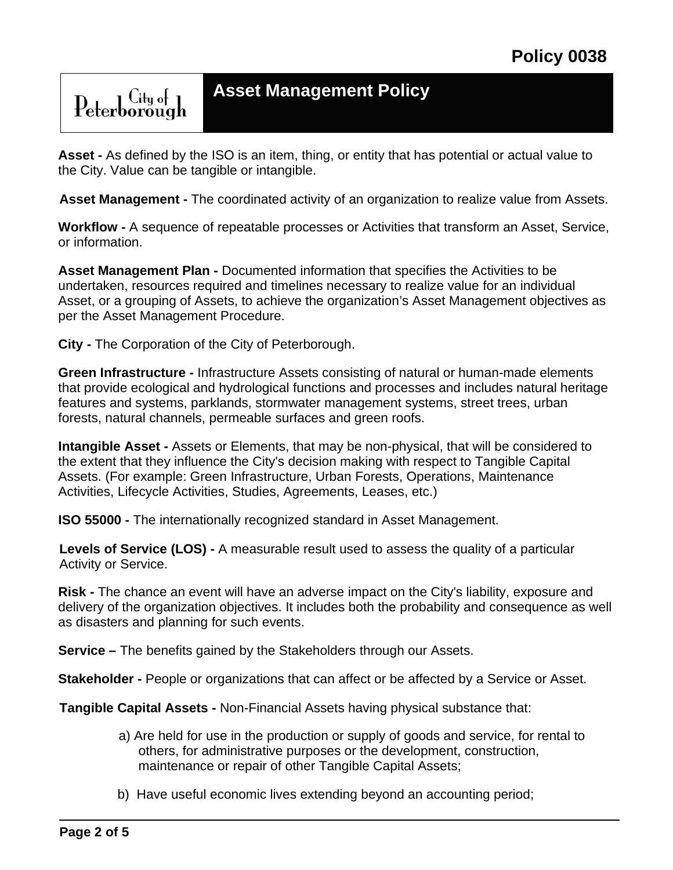${\rm Peterborough}$ 

**Asset -** As defined by the ISO is an item, thing, or entity that has potential or actual value to the City. Value can be tangible or intangible.

**Asset Management -** The coordinated activity of an organization to realize value from Assets.

**Workflow -** A sequence of repeatable processes or Activities that transform an Asset, Service, or information.

**Asset Management Plan -** Documented information that specifies the Activities to be undertaken, resources required and timelines necessary to realize value for an individual Asset, or a grouping of Assets, to achieve the organization's Asset Management objectives as per the Asset Management Procedure.

**City -** The Corporation of the City of Peterborough.

**Green Infrastructure -** Infrastructure Assets consisting of natural or human-made elements that provide ecological and hydrological functions and processes and includes natural heritage features and systems, parklands, stormwater management systems, street trees, urban forests, natural channels, permeable surfaces and green roofs.

**Intangible Asset -** Assets or Elements, that may be non-physical, that will be considered to the extent that they influence the City's decision making with respect to Tangible Capital Assets. (For example: Green Infrastructure, Urban Forests, Operations, Maintenance Activities, Lifecycle Activities, Studies, Agreements, Leases, etc.)

**ISO 55000 -** The internationally recognized standard in Asset Management.

**Levels of Service (LOS) -** A measurable result used to assess the quality of a particular Activity or Service.

**Risk -** The chance an event will have an adverse impact on the City's liability, exposure and delivery of the organization objectives. It includes both the probability and consequence as well as disasters and planning for such events.

**Service –** The benefits gained by the Stakeholders through our Assets.

**Stakeholder -** People or organizations that can affect or be affected by a Service or Asset.

**Tangible Capital Assets -** Non-Financial Assets having physical substance that:

- a) Are held for use in the production or supply of goods and service, for rental to others, for administrative purposes or the development, construction, maintenance or repair of other Tangible Capital Assets;
- b) Have useful economic lives extending beyond an accounting period;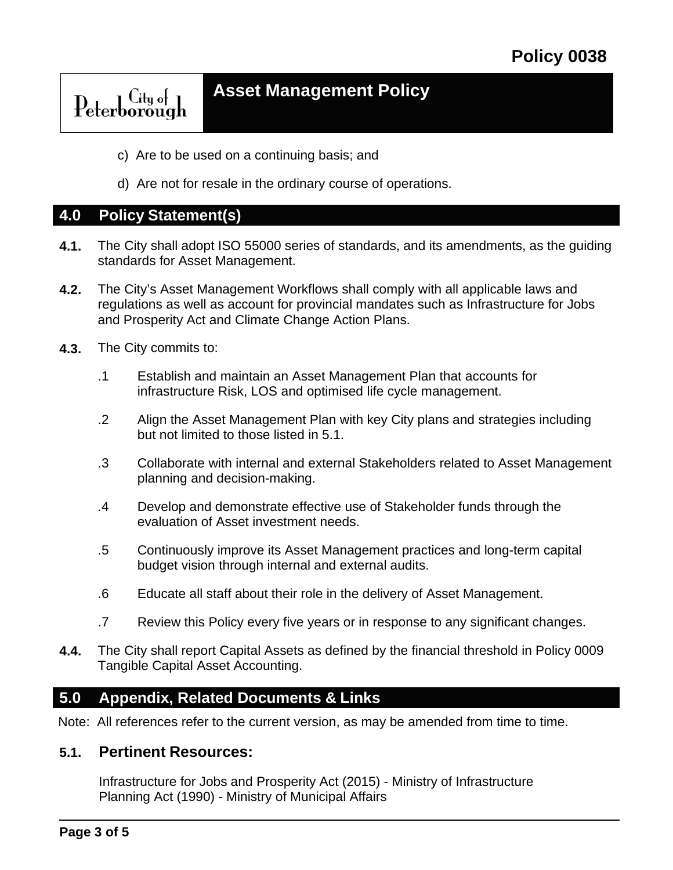### **Asset Management Policy**Peterborough

- c) Are to be used on a continuing basis; and
- d) Are not for resale in the ordinary course of operations.

### **4.0 Policy Statement(s)**

- **4.1.** The City shall adopt ISO 55000 series of standards, and its amendments, as the guiding standards for Asset Management.
- **4.2.** The City's Asset Management Workflows shall comply with all applicable laws and regulations as well as account for provincial mandates such as Infrastructure for Jobs and Prosperity Act and Climate Change Action Plans.
- **4.3.** The City commits to:
	- .1 Establish and maintain an Asset Management Plan that accounts for infrastructure Risk, LOS and optimised life cycle management.
	- .2 Align the Asset Management Plan with key City plans and strategies including but not limited to those listed in 5.1.
	- .3 Collaborate with internal and external Stakeholders related to Asset Management planning and decision-making.
	- .4 Develop and demonstrate effective use of Stakeholder funds through the evaluation of Asset investment needs.
	- .5 Continuously improve its Asset Management practices and long-term capital budget vision through internal and external audits.
	- .6 Educate all staff about their role in the delivery of Asset Management.
	- .7 Review this Policy every five years or in response to any significant changes.
- **4.4.** The City shall report Capital Assets as defined by the financial threshold in Policy 0009 Tangible Capital Asset Accounting.

### **5.0 Appendix, Related Documents & Links**

Note: All references refer to the current version, as may be amended from time to time.

### **5.1. Pertinent Resources:**

Infrastructure for Jobs and Prosperity Act (2015) - Ministry of Infrastructure Planning Act (1990) - Ministry of Municipal Affairs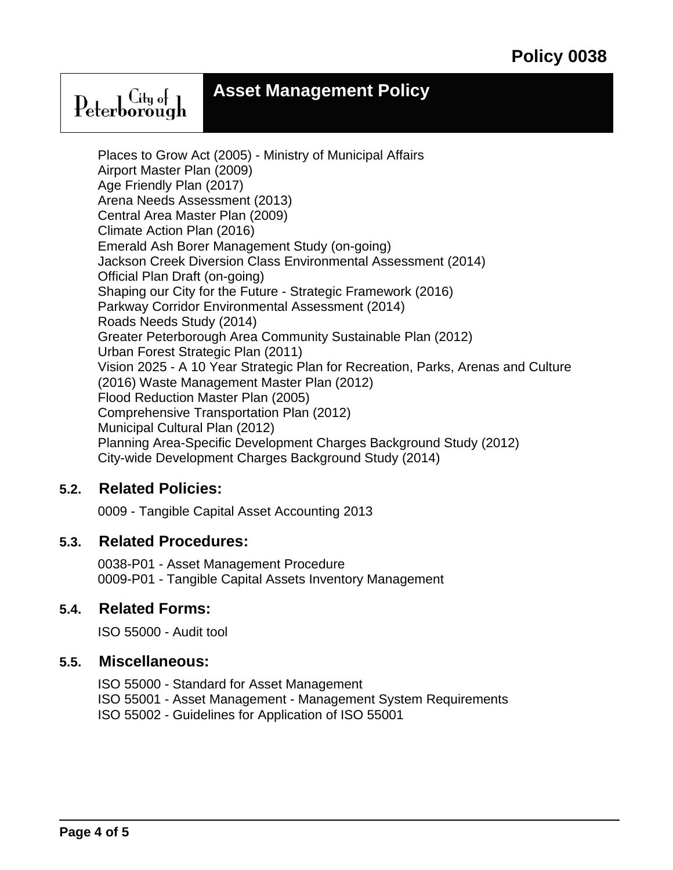Peterborough

Places to Grow Act (2005) - Ministry of Municipal Affairs Airport Master Plan (2009) Age Friendly Plan (2017) Arena Needs Assessment (2013) Central Area Master Plan (2009) Climate Action Plan (2016) Emerald Ash Borer Management Study (on-going) Jackson Creek Diversion Class Environmental Assessment (2014) Official Plan Draft (on-going) Shaping our City for the Future - Strategic Framework (2016) Parkway Corridor Environmental Assessment (2014) Roads Needs Study (2014) Greater Peterborough Area Community Sustainable Plan (2012) Urban Forest Strategic Plan (2011) Vision 2025 - A 10 Year Strategic Plan for Recreation, Parks, Arenas and Culture (2016) Waste Management Master Plan (2012) Flood Reduction Master Plan (2005) Comprehensive Transportation Plan (2012) Municipal Cultural Plan (2012) Planning Area-Specific Development Charges Background Study (2012) City-wide Development Charges Background Study (2014)

### **Related Policies: 5.2.**

0009 - Tangible Capital Asset Accounting 2013

### **Related Procedures: 5.3.**

0038-P01 - Asset Management Procedure 0009-P01 - Tangible Capital Assets Inventory Management

### **Related Forms: 5.4.**

ISO 55000 - Audit tool

### **Miscellaneous: 5.5.**

ISO 55000 - Standard for Asset Management ISO 55001 - Asset Management - Management System Requirements ISO 55002 - Guidelines for Application of ISO 55001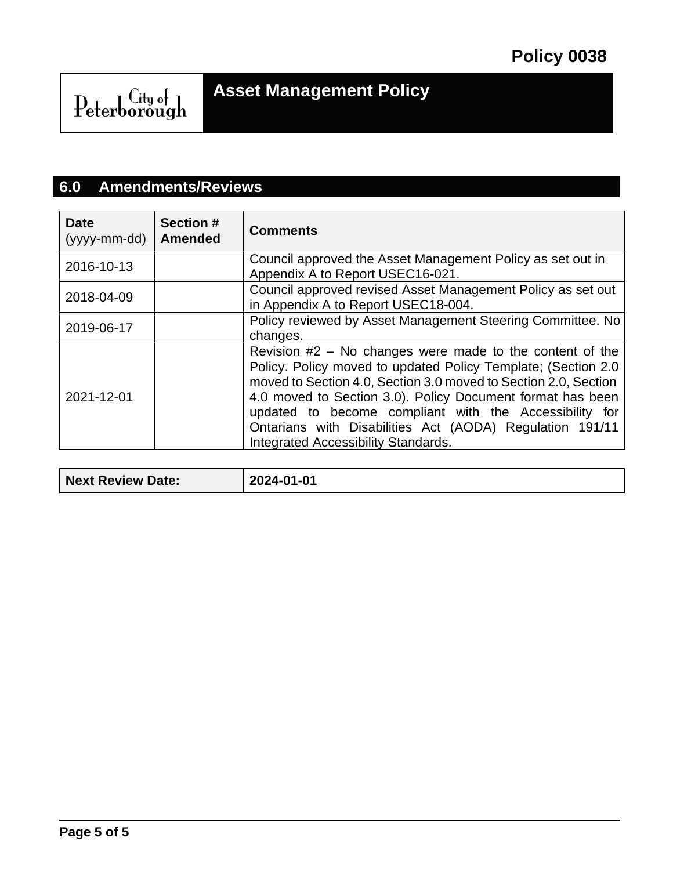# ${\rm \textbf{Peterborough}}^{\rm \textbf{City of}}$

### **6.0 Amendments/Reviews**

| <b>Date</b><br>(yyyy-mm-dd) | <b>Section #</b><br><b>Amended</b> | <b>Comments</b>                                                                                                                                                                                                                                                                                                                                                                                                            |
|-----------------------------|------------------------------------|----------------------------------------------------------------------------------------------------------------------------------------------------------------------------------------------------------------------------------------------------------------------------------------------------------------------------------------------------------------------------------------------------------------------------|
| 2016-10-13                  |                                    | Council approved the Asset Management Policy as set out in<br>Appendix A to Report USEC16-021.                                                                                                                                                                                                                                                                                                                             |
| 2018-04-09                  |                                    | Council approved revised Asset Management Policy as set out<br>in Appendix A to Report USEC18-004.                                                                                                                                                                                                                                                                                                                         |
| 2019-06-17                  |                                    | Policy reviewed by Asset Management Steering Committee. No<br>changes.                                                                                                                                                                                                                                                                                                                                                     |
| 2021-12-01                  |                                    | Revision $#2 - No$ changes were made to the content of the<br>Policy. Policy moved to updated Policy Template; (Section 2.0)<br>moved to Section 4.0, Section 3.0 moved to Section 2.0, Section<br>4.0 moved to Section 3.0). Policy Document format has been<br>updated to become compliant with the Accessibility for<br>Ontarians with Disabilities Act (AODA) Regulation 191/11<br>Integrated Accessibility Standards. |

| <b>Next Review Date:</b> | 2024-01-01 |
|--------------------------|------------|
|--------------------------|------------|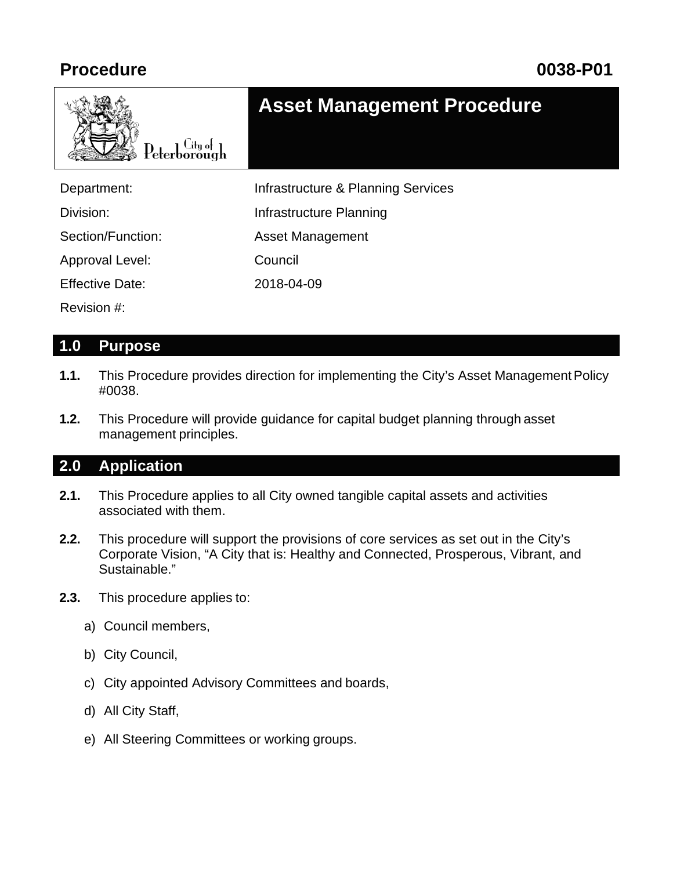

### **Asset Management Procedure**

| Department:            | Infrastructure & Planning Services |
|------------------------|------------------------------------|
| Division:              | Infrastructure Planning            |
| Section/Function:      | <b>Asset Management</b>            |
| Approval Level:        | Council                            |
| <b>Effective Date:</b> | 2018-04-09                         |
| Revision #:            |                                    |

### **1.0 Purpose**

- **1.1.** This Procedure provides direction for implementing the City's Asset Management Policy #0038.
- **1.2.** This Procedure will provide guidance for capital budget planning through asset management principles.

### **2.0 Application**

- **2.1.** This Procedure applies to all City owned tangible capital assets and activities associated with them.
- **2.2.** This procedure will support the provisions of core services as set out in the City's Corporate Vision, "A City that is: Healthy and Connected, Prosperous, Vibrant, and Sustainable."
- **2.3.** This procedure applies to:
	- a) Council members,
	- b) City Council,
	- c) City appointed Advisory Committees and boards,
	- d) All City Staff,
	- e) All Steering Committees or working groups.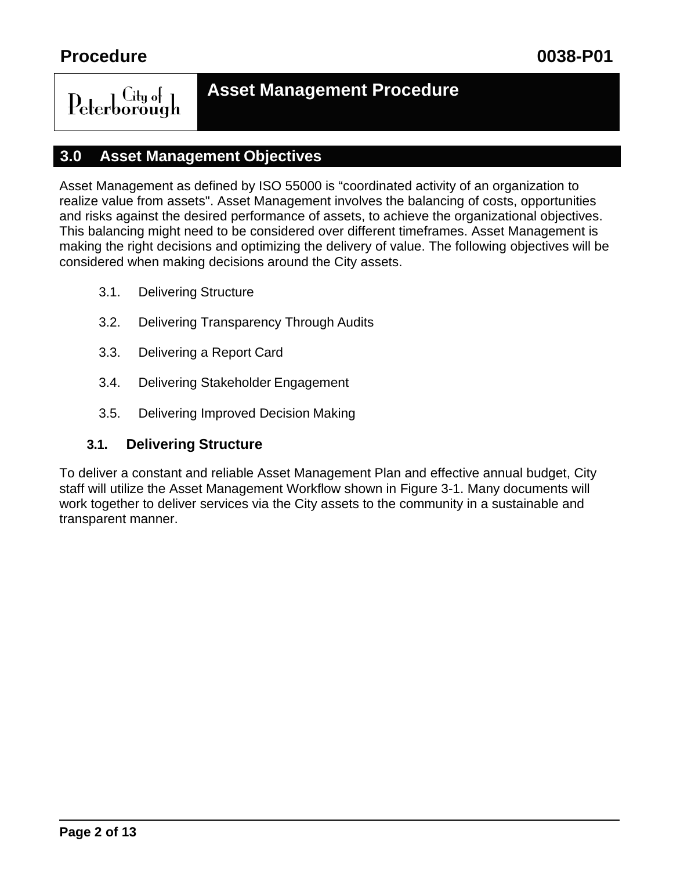### $\overline{\mathrm{C}}$ ity of Peterborough

### **Asset Management Procedure**

### **3.0 Asset Management Objectives**

Asset Management as defined by ISO 55000 is "coordinated activity of an organization to realize value from assets". Asset Management involves the balancing of costs, opportunities and risks against the desired performance of assets, to achieve the organizational objectives. This balancing might need to be considered over different timeframes. Asset Management is making the right decisions and optimizing the delivery of value. The following objectives will be considered when making decisions around the City assets.

- 3.1. Delivering Structure
- 3.2. Delivering Transparency Through Audits
- 3.3. Delivering a Report Card
- 3.4. Delivering Stakeholder Engagement
- 3.5. Delivering Improved Decision Making

### **3.1. Delivering Structure**

To deliver a constant and reliable Asset Management Plan and effective annual budget, City staff will utilize the Asset Management Workflow shown in Figure 3-1. Many documents will work together to deliver services via the City assets to the community in a sustainable and transparent manner.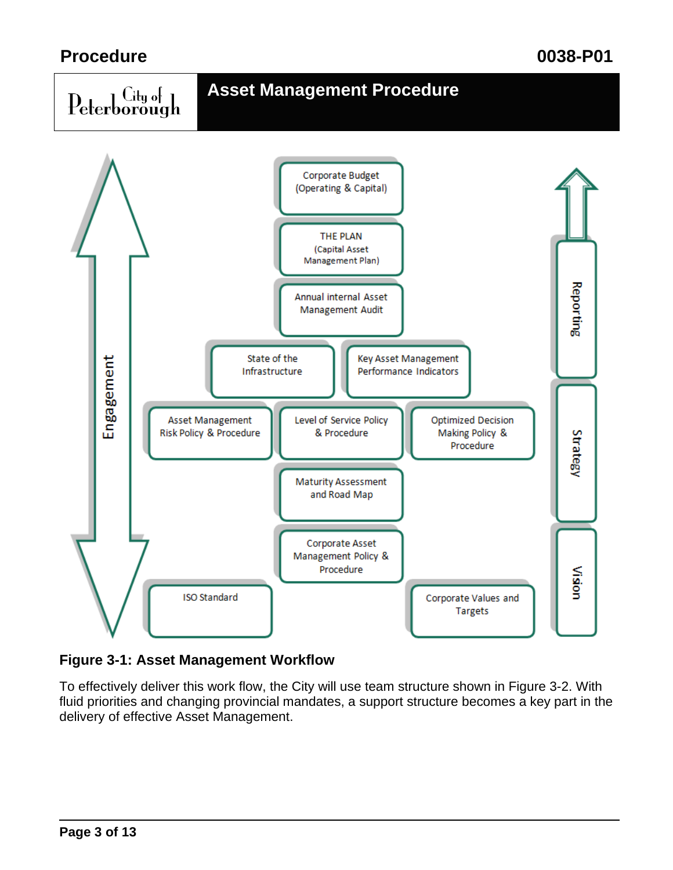



### **Figure 3-1: Asset Management Workflow**

To effectively deliver this work flow, the City will use team structure shown in Figure 3-2. With fluid priorities and changing provincial mandates, a support structure becomes a key part in the delivery of effective Asset Management.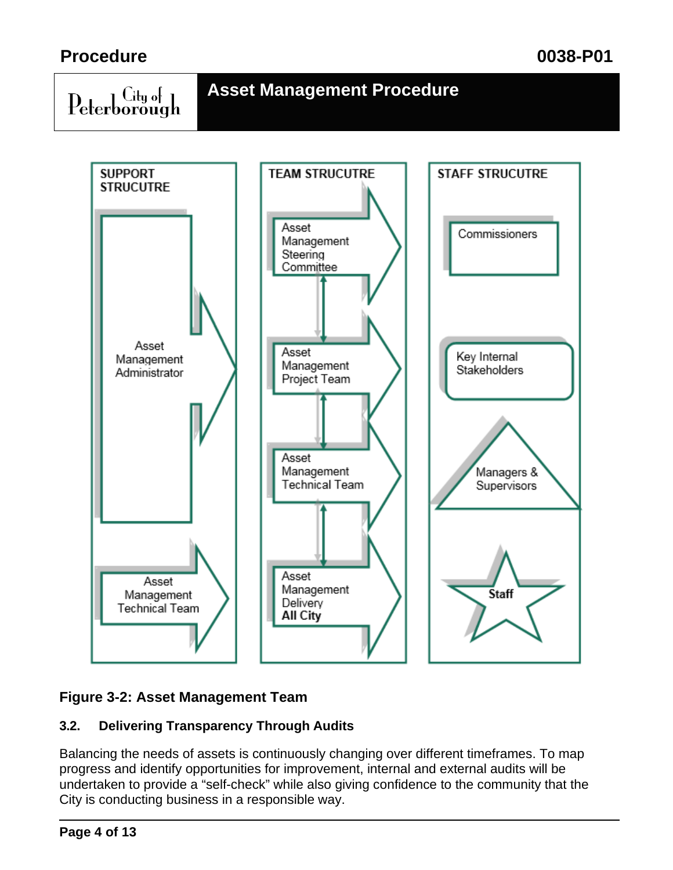$\operatorname{Peterborough}$ 

### **Asset Management Procedure**



### **Figure 3-2: Asset Management Team**

### **3.2. Delivering Transparency Through Audits**

Balancing the needs of assets is continuously changing over different timeframes. To map progress and identify opportunities for improvement, internal and external audits will be undertaken to provide a "self-check" while also giving confidence to the community that the City is conducting business in a responsible way.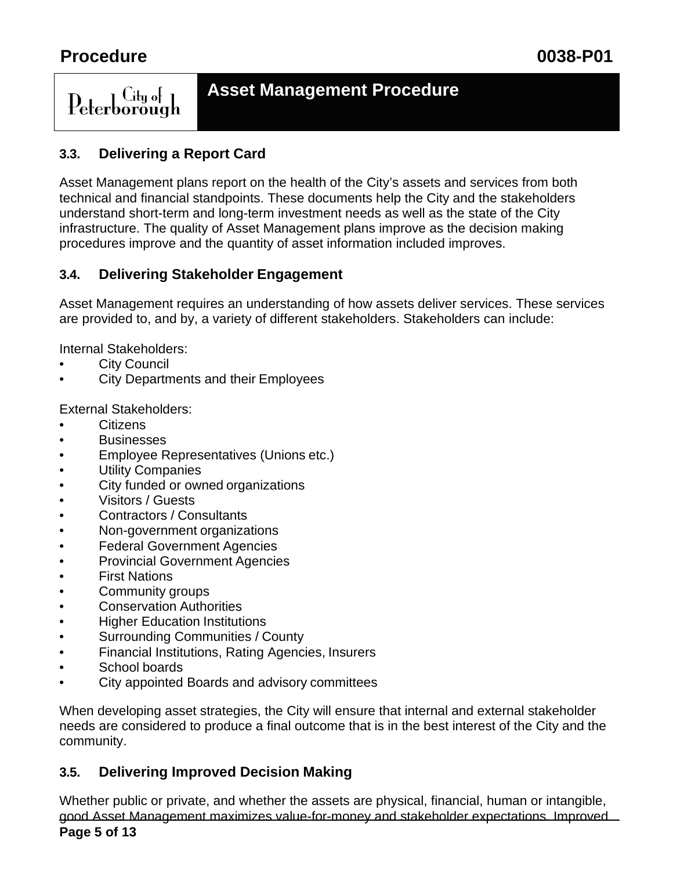### ∣ City of ∃ Peterborough

### **Asset Management Procedure**

### **3.3. Delivering a Report Card**

Asset Management plans report on the health of the City's assets and services from both technical and financial standpoints. These documents help the City and the stakeholders understand short-term and long-term investment needs as well as the state of the City infrastructure. The quality of Asset Management plans improve as the decision making procedures improve and the quantity of asset information included improves.

### **3.4. Delivering Stakeholder Engagement**

Asset Management requires an understanding of how assets deliver services. These services are provided to, and by, a variety of different stakeholders. Stakeholders can include:

Internal Stakeholders:

- **City Council**
- City Departments and their Employees

External Stakeholders:

- **Citizens**
- Businesses
- Employee Representatives (Unions etc.)
- **Utility Companies**
- City funded or owned organizations
- Visitors / Guests
- Contractors / Consultants
- Non-government organizations
- Federal Government Agencies
- Provincial Government Agencies
- First Nations
- Community groups
- Conservation Authorities
- Higher Education Institutions
- Surrounding Communities / County
- Financial Institutions, Rating Agencies, Insurers
- School boards
- City appointed Boards and advisory committees

When developing asset strategies, the City will ensure that internal and external stakeholder needs are considered to produce a final outcome that is in the best interest of the City and the community.

### **3.5. Delivering Improved Decision Making**

Whether public or private, and whether the assets are physical, financial, human or intangible, good Asset Management maximizes value-for-money and stakeholder expectations. Improved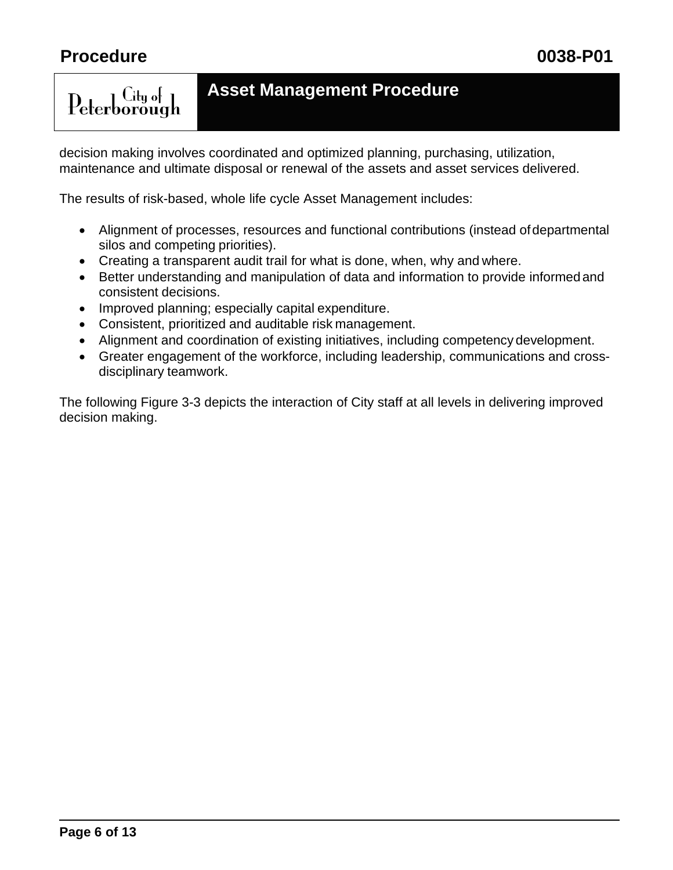$C$ ity of

Peterborough

### **Asset Management Procedure**

decision making involves coordinated and optimized planning, purchasing, utilization, maintenance and ultimate disposal or renewal of the assets and asset services delivered.

The results of risk-based, whole life cycle Asset Management includes:

- Alignment of processes, resources and functional contributions (instead ofdepartmental silos and competing priorities).
- Creating a transparent audit trail for what is done, when, why and where.
- Better understanding and manipulation of data and information to provide informedand consistent decisions.
- Improved planning; especially capital expenditure.
- Consistent, prioritized and auditable risk management.
- Alignment and coordination of existing initiatives, including competency development.
- Greater engagement of the workforce, including leadership, communications and crossdisciplinary teamwork.

The following Figure 3-3 depicts the interaction of City staff at all levels in delivering improved decision making.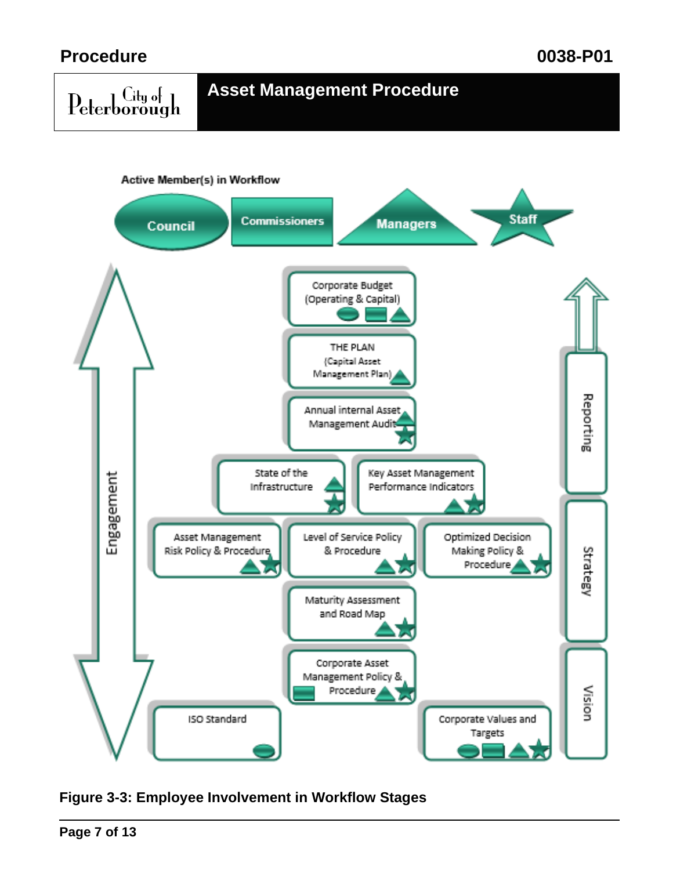# Peterborough

### **Asset Management Procedure**



**Figure 3-3: Employee Involvement in Workflow Stages**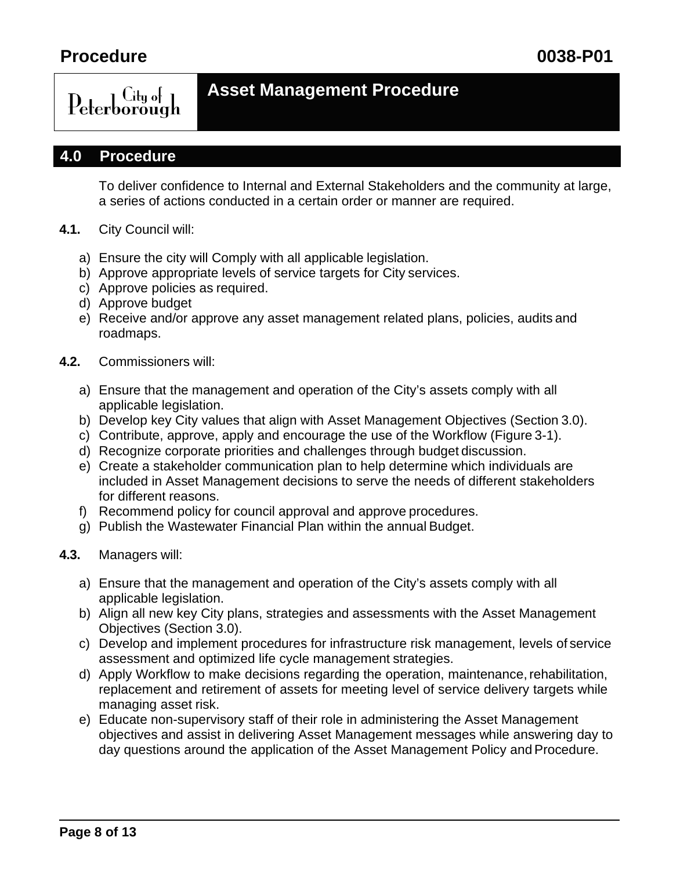

### **Asset Management Procedure**

### **4.0 Procedure**

To deliver confidence to Internal and External Stakeholders and the community at large, a series of actions conducted in a certain order or manner are required.

- **4.1.** City Council will:
	- a) Ensure the city will Comply with all applicable legislation.
	- b) Approve appropriate levels of service targets for City services.
	- c) Approve policies as required.
	- d) Approve budget
	- e) Receive and/or approve any asset management related plans, policies, audits and roadmaps.
- **4.2.** Commissioners will:
	- a) Ensure that the management and operation of the City's assets comply with all applicable legislation.
	- b) Develop key City values that align with Asset Management Objectives (Section 3.0).
	- c) Contribute, approve, apply and encourage the use of the Workflow (Figure 3-1).
	- d) Recognize corporate priorities and challenges through budget discussion.
	- e) Create a stakeholder communication plan to help determine which individuals are included in Asset Management decisions to serve the needs of different stakeholders for different reasons.
	- f) Recommend policy for council approval and approve procedures.
	- g) Publish the Wastewater Financial Plan within the annual Budget.
- **4.3.** Managers will:
	- a) Ensure that the management and operation of the City's assets comply with all applicable legislation.
	- b) Align all new key City plans, strategies and assessments with the Asset Management Objectives (Section 3.0).
	- c) Develop and implement procedures for infrastructure risk management, levels of service assessment and optimized life cycle management strategies.
	- d) Apply Workflow to make decisions regarding the operation, maintenance,rehabilitation, replacement and retirement of assets for meeting level of service delivery targets while managing asset risk.
	- e) Educate non-supervisory staff of their role in administering the Asset Management objectives and assist in delivering Asset Management messages while answering day to day questions around the application of the Asset Management Policy and Procedure.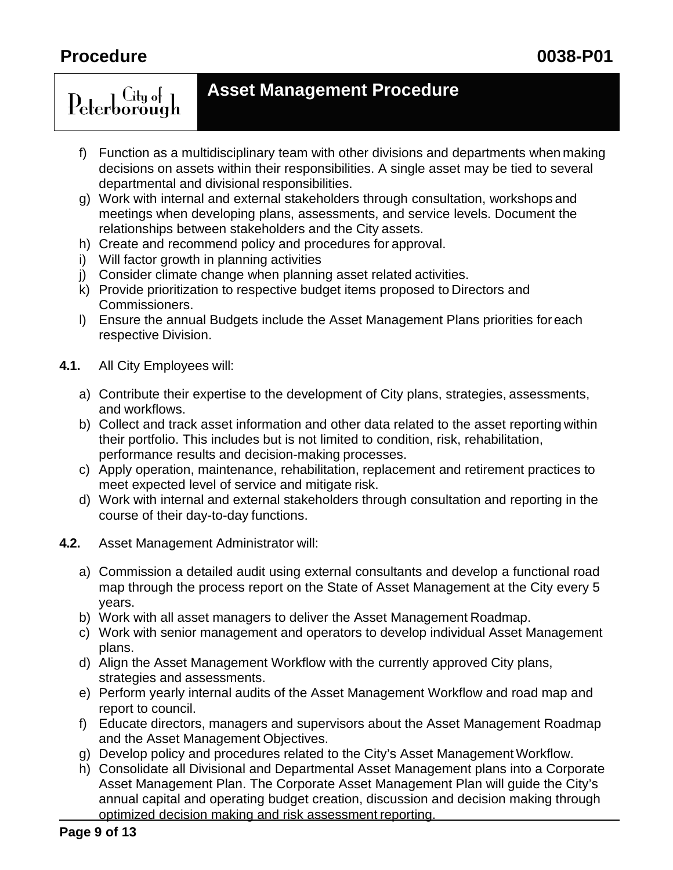$\overline{\rm C}$ ity of  $\overline{\rm I}$ Peterborough

### **Asset Management Procedure**

- f) Function as a multidisciplinary team with other divisions and departments when making decisions on assets within their responsibilities. A single asset may be tied to several departmental and divisional responsibilities.
- g) Work with internal and external stakeholders through consultation, workshops and meetings when developing plans, assessments, and service levels. Document the relationships between stakeholders and the City assets.
- h) Create and recommend policy and procedures for approval.
- i) Will factor growth in planning activities
- j) Consider climate change when planning asset related activities.
- k) Provide prioritization to respective budget items proposed to Directors and Commissioners.
- l) Ensure the annual Budgets include the Asset Management Plans priorities foreach respective Division.
- **4.1.** All City Employees will:
	- a) Contribute their expertise to the development of City plans, strategies, assessments, and workflows.
	- b) Collect and track asset information and other data related to the asset reporting within their portfolio. This includes but is not limited to condition, risk, rehabilitation, performance results and decision-making processes.
	- c) Apply operation, maintenance, rehabilitation, replacement and retirement practices to meet expected level of service and mitigate risk.
	- d) Work with internal and external stakeholders through consultation and reporting in the course of their day-to-day functions.
- **4.2.** Asset Management Administrator will:
	- a) Commission a detailed audit using external consultants and develop a functional road map through the process report on the State of Asset Management at the City every 5 years.
	- b) Work with all asset managers to deliver the Asset Management Roadmap.
	- c) Work with senior management and operators to develop individual Asset Management plans.
	- d) Align the Asset Management Workflow with the currently approved City plans, strategies and assessments.
	- e) Perform yearly internal audits of the Asset Management Workflow and road map and report to council.
	- f) Educate directors, managers and supervisors about the Asset Management Roadmap and the Asset Management Objectives.
	- g) Develop policy and procedures related to the City's Asset Management Workflow.
	- h) Consolidate all Divisional and Departmental Asset Management plans into a Corporate Asset Management Plan. The Corporate Asset Management Plan will guide the City's annual capital and operating budget creation, discussion and decision making through optimized decision making and risk assessment reporting.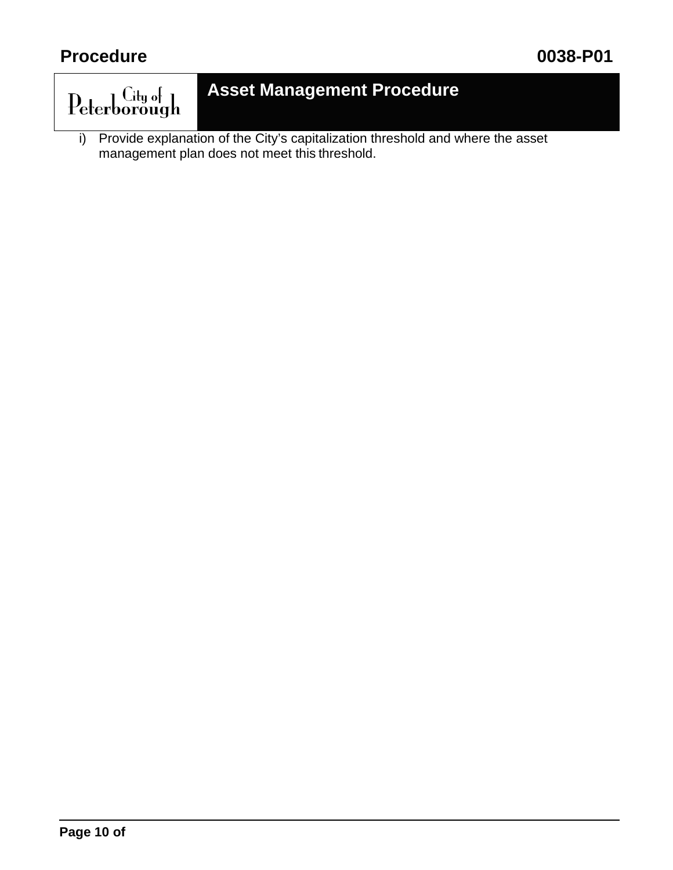

## **Asset Management Procedure**

i) Provide explanation of the City's capitalization threshold and where the asset management plan does not meet this threshold.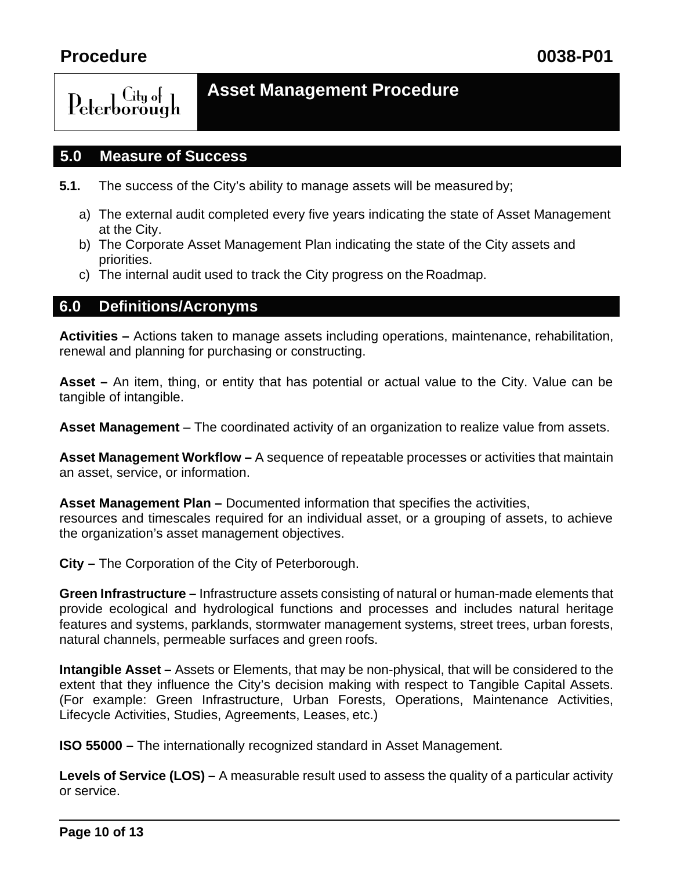### $\int_{\mathbf{H}}$   $\int_{\mathbf{H}}$ Peterborough

### **Asset Management Procedure**

### **5.0 Measure of Success**

- **5.1.** The success of the City's ability to manage assets will be measured by;
	- a) The external audit completed every five years indicating the state of Asset Management at the City.
	- b) The Corporate Asset Management Plan indicating the state of the City assets and priorities.
	- c) The internal audit used to track the City progress on the Roadmap.

### **6.0 Definitions/Acronyms**

**Activities –** Actions taken to manage assets including operations, maintenance, rehabilitation, renewal and planning for purchasing or constructing.

**Asset –** An item, thing, or entity that has potential or actual value to the City. Value can be tangible of intangible.

**Asset Management** – The coordinated activity of an organization to realize value from assets.

**Asset Management Workflow –** A sequence of repeatable processes or activities that maintain an asset, service, or information.

**Asset Management Plan –** Documented information that specifies the activities, resources and timescales required for an individual asset, or a grouping of assets, to achieve the organization's asset management objectives.

**City –** The Corporation of the City of Peterborough.

**Green Infrastructure –** Infrastructure assets consisting of natural or human-made elements that provide ecological and hydrological functions and processes and includes natural heritage features and systems, parklands, stormwater management systems, street trees, urban forests, natural channels, permeable surfaces and green roofs.

**Intangible Asset –** Assets or Elements, that may be non-physical, that will be considered to the extent that they influence the City's decision making with respect to Tangible Capital Assets. (For example: Green Infrastructure, Urban Forests, Operations, Maintenance Activities, Lifecycle Activities, Studies, Agreements, Leases, etc.)

**ISO 55000 –** The internationally recognized standard in Asset Management.

**Levels of Service (LOS) –** A measurable result used to assess the quality of a particular activity or service.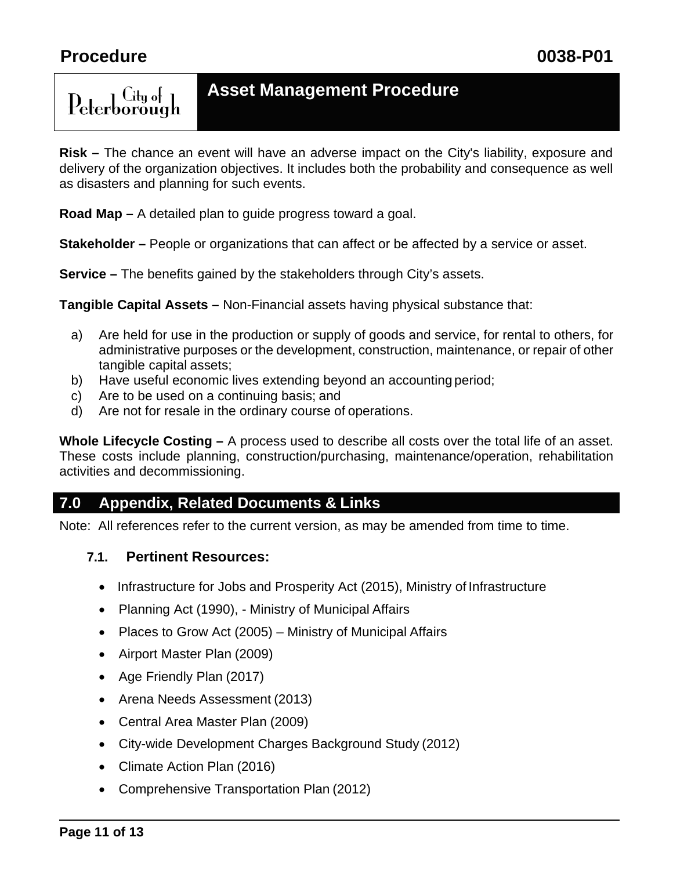– Citu ol ⊐

Peterborough

### **Asset Management Procedure**

**Risk –** The chance an event will have an adverse impact on the City's liability, exposure and delivery of the organization objectives. It includes both the probability and consequence as well as disasters and planning for such events.

**Road Map –** A detailed plan to guide progress toward a goal.

**Stakeholder** – People or organizations that can affect or be affected by a service or asset.

**Service –** The benefits gained by the stakeholders through City's assets.

**Tangible Capital Assets –** Non-Financial assets having physical substance that:

- a) Are held for use in the production or supply of goods and service, for rental to others, for administrative purposes or the development, construction, maintenance, or repair of other tangible capital assets;
- b) Have useful economic lives extending beyond an accounting period;
- c) Are to be used on a continuing basis; and
- d) Are not for resale in the ordinary course of operations.

**Whole Lifecycle Costing –** A process used to describe all costs over the total life of an asset. These costs include planning, construction/purchasing, maintenance/operation, rehabilitation activities and decommissioning.

### **7.0 Appendix, Related Documents & Links**

Note: All references refer to the current version, as may be amended from time to time.

### **7.1. Pertinent Resources:**

- Infrastructure for Jobs and Prosperity Act (2015), Ministry of Infrastructure
- Planning Act (1990), Ministry of Municipal Affairs
- Places to Grow Act (2005) Ministry of Municipal Affairs
- Airport Master Plan (2009)
- Age Friendly Plan (2017)
- Arena Needs Assessment (2013)
- Central Area Master Plan (2009)
- City-wide Development Charges Background Study (2012)
- Climate Action Plan (2016)
- Comprehensive Transportation Plan (2012)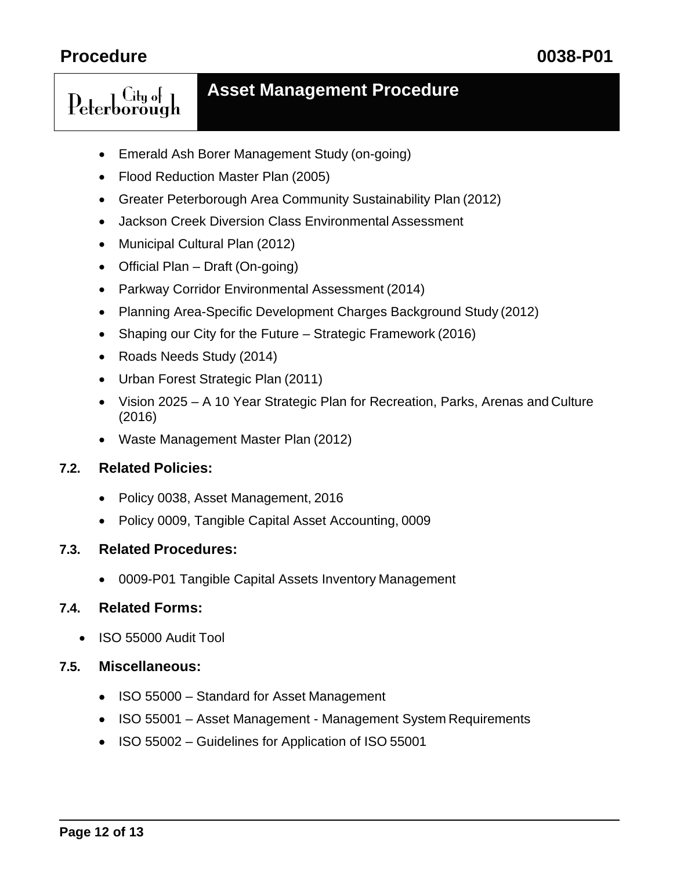$C$ itu of  $\overline{1}$ 

Peterborough

### **Asset Management Procedure**

- Emerald Ash Borer Management Study (on-going)
- Flood Reduction Master Plan (2005)
- Greater Peterborough Area Community Sustainability Plan (2012)
- Jackson Creek Diversion Class Environmental Assessment
- Municipal Cultural Plan (2012)
- Official Plan Draft (On-going)
- Parkway Corridor Environmental Assessment (2014)
- Planning Area-Specific Development Charges Background Study (2012)
- Shaping our City for the Future Strategic Framework (2016)
- Roads Needs Study (2014)
- Urban Forest Strategic Plan (2011)
- Vision 2025 A 10 Year Strategic Plan for Recreation, Parks, Arenas and Culture (2016)
- Waste Management Master Plan (2012)

### **7.2. Related Policies:**

- Policy 0038, Asset Management, 2016
- Policy 0009, Tangible Capital Asset Accounting, 0009

### **7.3. Related Procedures:**

• 0009-P01 Tangible Capital Assets Inventory Management

### **7.4. Related Forms:**

• ISO 55000 Audit Tool

### **7.5. Miscellaneous:**

- ISO 55000 Standard for Asset Management
- ISO 55001 Asset Management Management System Requirements
- ISO 55002 Guidelines for Application of ISO 55001